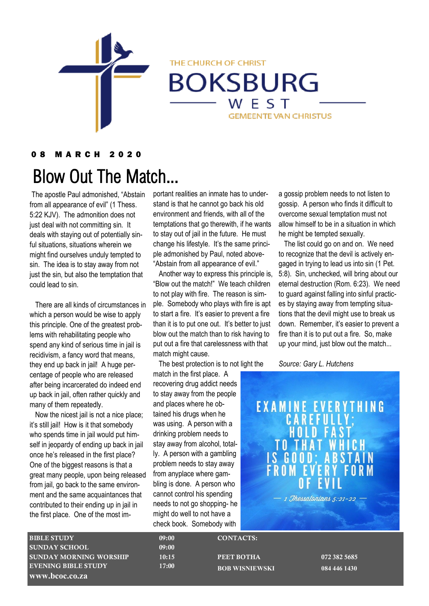

THE CHURCH OF CHRIST

**BOKSBURG** WEST **GEMEENTE VAN CHRISTUS** 

## 0 8 M A R C H 2 0 2 0

# Blow Out The Match...

The apostle Paul admonished, "Abstain from all appearance of evil" (1 Thess. 5:22 KJV). The admonition does not just deal with not committing sin. It deals with staying out of potentially sinful situations, situations wherein we might find ourselves unduly tempted to sin. The idea is to stay away from not just the sin, but also the temptation that could lead to sin.

 There are all kinds of circumstances in which a person would be wise to apply this principle. One of the greatest problems with rehabilitating people who spend any kind of serious time in jail is recidivism, a fancy word that means, they end up back in jail! A huge percentage of people who are released after being incarcerated do indeed end up back in jail, often rather quickly and many of them repeatedly.

 Now the nicest jail is not a nice place; it's still jail! How is it that somebody who spends time in jail would put himself in jeopardy of ending up back in jail once he's released in the first place? One of the biggest reasons is that a great many people, upon being released from jail, go back to the same environment and the same acquaintances that contributed to their ending up in jail in the first place. One of the most important realities an inmate has to understand is that he cannot go back his old environment and friends, with all of the temptations that go therewith, if he wants to stay out of jail in the future. He must change his lifestyle. It's the same principle admonished by Paul, noted above- "Abstain from all appearance of evil."

 Another way to express this principle is, "Blow out the match!" We teach children to not play with fire. The reason is simple. Somebody who plays with fire is apt to start a fire. It's easier to prevent a fire than it is to put one out. It's better to just blow out the match than to risk having to put out a fire that carelessness with that match might cause.

The best protection is to not light the

match in the first place. A recovering drug addict needs to stay away from the people and places where he obtained his drugs when he was using. A person with a drinking problem needs to stay away from alcohol, totally. A person with a gambling problem needs to stay away from anyplace where gambling is done. A person who cannot control his spending needs to not go shopping- he might do well to not have a check book. Somebody with

a gossip problem needs to not listen to gossip. A person who finds it difficult to overcome sexual temptation must not allow himself to be in a situation in which he might be tempted sexually.

 The list could go on and on. We need to recognize that the devil is actively engaged in trying to lead us into sin (1 Pet. 5:8). Sin, unchecked, will bring about our eternal destruction (Rom. 6:23). We need to guard against falling into sinful practices by staying away from tempting situations that the devil might use to break us down. Remember, it's easier to prevent a fire than it is to put out a fire. So, make up your mind, just blow out the match...

#### *Source: Gary L. Hutchens*

**EXAMINE EVERYTHING**<br>**CAREFULLY**; HOLD FA 1 Thessalonians 5:21-22

BIBLE STUDY 09:00 SUNDAY SCHOOL 09:00 SUNDAY MORNING WORSHIP 10:15 EVENING BIBLE STUDY 17:00 **www.bcoc.co.za**

CONTACTS:

PEET BOTHA 072 382 5685 **BOB WISNIEWSKI 084 446 1430**